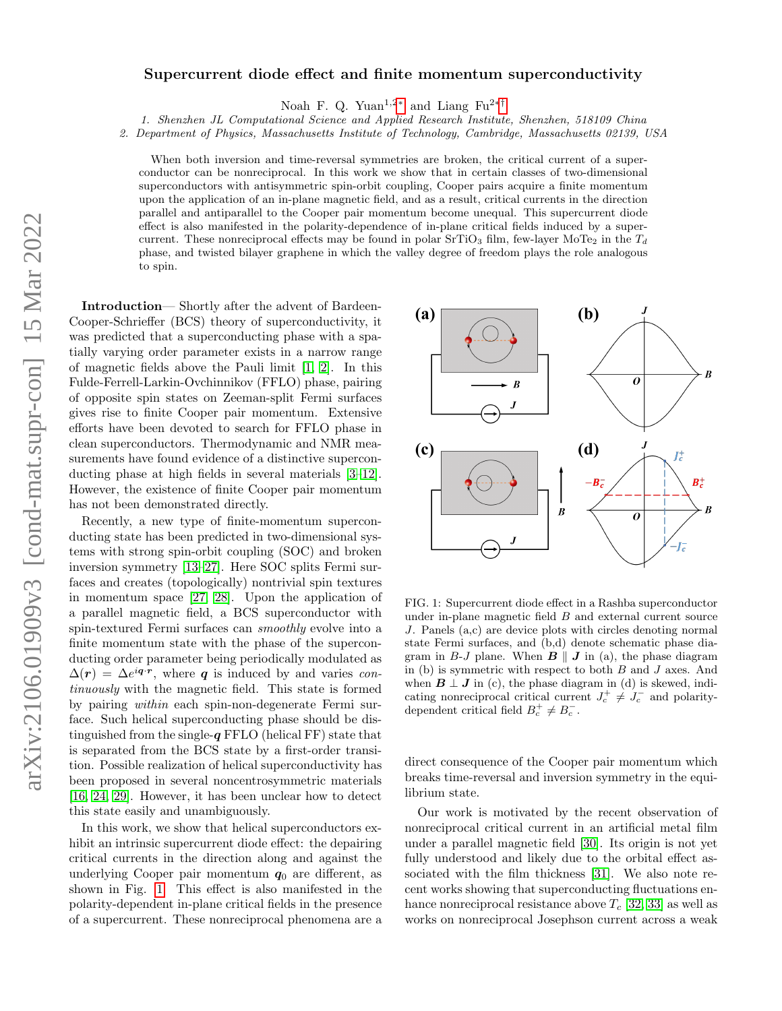# Supercurrent diode effect and finite momentum superconductivity

Noah F. Q. Yuan<sup>1,2\*</sup> and Liang Fu<sup>2\*†</sup>

1. Shenzhen JL Computational Science and Applied Research Institute, Shenzhen, 518109 China

2. Department of Physics, Massachusetts Institute of Technology, Cambridge, Massachusetts 02139, USA

When both inversion and time-reversal symmetries are broken, the critical current of a superconductor can be nonreciprocal. In this work we show that in certain classes of two-dimensional superconductors with antisymmetric spin-orbit coupling, Cooper pairs acquire a finite momentum upon the application of an in-plane magnetic field, and as a result, critical currents in the direction parallel and antiparallel to the Cooper pair momentum become unequal. This supercurrent diode effect is also manifested in the polarity-dependence of in-plane critical fields induced by a supercurrent. These nonreciprocal effects may be found in polar SrTiO<sub>3</sub> film, few-layer MoTe<sub>2</sub> in the  $T_d$ phase, and twisted bilayer graphene in which the valley degree of freedom plays the role analogous to spin.

Introduction— Shortly after the advent of Bardeen-Cooper-Schrieffer (BCS) theory of superconductivity, it was predicted that a superconducting phase with a spatially varying order parameter exists in a narrow range of magnetic fields above the Pauli limit [\[1,](#page-10-2) [2\]](#page-10-3). In this Fulde-Ferrell-Larkin-Ovchinnikov (FFLO) phase, pairing of opposite spin states on Zeeman-split Fermi surfaces gives rise to finite Cooper pair momentum. Extensive efforts have been devoted to search for FFLO phase in clean superconductors. Thermodynamic and NMR measurements have found evidence of a distinctive superconducting phase at high fields in several materials [\[3–](#page-10-4)[12\]](#page-10-5). However, the existence of finite Cooper pair momentum has not been demonstrated directly.

Recently, a new type of finite-momentum superconducting state has been predicted in two-dimensional systems with strong spin-orbit coupling (SOC) and broken inversion symmetry [\[13](#page-10-6)[–27\]](#page-10-7). Here SOC splits Fermi surfaces and creates (topologically) nontrivial spin textures in momentum space [\[27,](#page-10-7) [28\]](#page-10-8). Upon the application of a parallel magnetic field, a BCS superconductor with spin-textured Fermi surfaces can smoothly evolve into a finite momentum state with the phase of the superconducting order parameter being periodically modulated as  $\Delta(r) = \Delta e^{i\boldsymbol{q}\cdot \boldsymbol{r}}$ , where **q** is induced by and varies continuously with the magnetic field. This state is formed by pairing within each spin-non-degenerate Fermi surface. Such helical superconducting phase should be distinguished from the single- $q$  FFLO (helical FF) state that is separated from the BCS state by a first-order transition. Possible realization of helical superconductivity has been proposed in several noncentrosymmetric materials [\[16,](#page-10-9) [24,](#page-10-10) [29\]](#page-10-11). However, it has been unclear how to detect this state easily and unambiguously.

In this work, we show that helical superconductors exhibit an intrinsic supercurrent diode effect: the depairing critical currents in the direction along and against the underlying Cooper pair momentum  $q_0$  are different, as shown in Fig. [1.](#page-0-0) This effect is also manifested in the polarity-dependent in-plane critical fields in the presence of a supercurrent. These nonreciprocal phenomena are a



<span id="page-0-0"></span>FIG. 1: Supercurrent diode effect in a Rashba superconductor under in-plane magnetic field  $B$  and external current source J. Panels (a,c) are device plots with circles denoting normal state Fermi surfaces, and (b,d) denote schematic phase diagram in B-J plane. When  $\mathbf{B} \parallel \mathbf{J}$  in (a), the phase diagram in (b) is symmetric with respect to both  $B$  and  $J$  axes. And when  $\mathbf{B} \perp \mathbf{J}$  in (c), the phase diagram in (d) is skewed, indicating nonreciprocal critical current  $J_c^+ \neq J_c^-$  and polaritydependent critical field  $B_c^+ \neq B_c^-$ .

direct consequence of the Cooper pair momentum which breaks time-reversal and inversion symmetry in the equilibrium state.

Our work is motivated by the recent observation of nonreciprocal critical current in an artificial metal film under a parallel magnetic field [\[30\]](#page-10-12). Its origin is not yet fully understood and likely due to the orbital effect associated with the film thickness [\[31\]](#page-10-13). We also note recent works showing that superconducting fluctuations enhance nonreciprocal resistance above  $T_c$  [\[32,](#page-10-14) [33\]](#page-10-15) as well as works on nonreciprocal Josephson current across a weak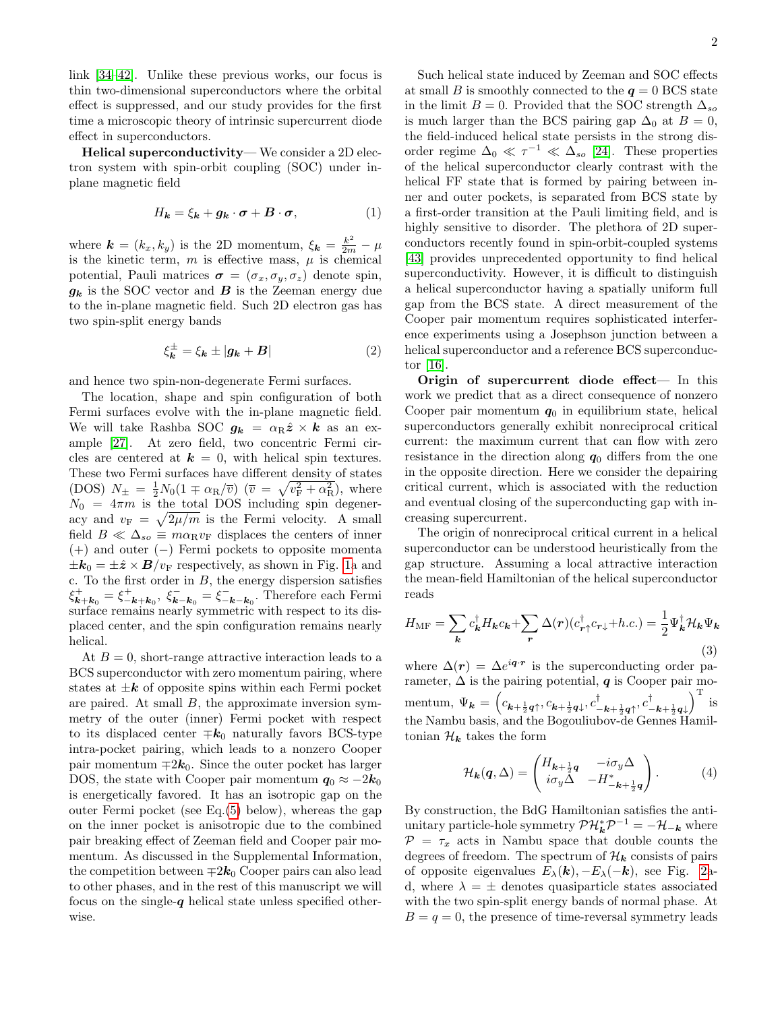link [\[34](#page-10-16)[–42\]](#page-10-17). Unlike these previous works, our focus is thin two-dimensional superconductors where the orbital effect is suppressed, and our study provides for the first time a microscopic theory of intrinsic supercurrent diode effect in superconductors.

Helical superconductivity— We consider a 2D electron system with spin-orbit coupling (SOC) under inplane magnetic field

<span id="page-1-0"></span>
$$
H_{\mathbf{k}} = \xi_{\mathbf{k}} + g_{\mathbf{k}} \cdot \boldsymbol{\sigma} + \boldsymbol{B} \cdot \boldsymbol{\sigma}, \tag{1}
$$

where  $\mathbf{k} = (k_x, k_y)$  is the 2D momentum,  $\xi_{\mathbf{k}} = \frac{k^2}{2m} - \mu$ is the kinetic term,  $m$  is effective mass,  $\mu$  is chemical potential, Pauli matrices  $\sigma = (\sigma_x, \sigma_y, \sigma_z)$  denote spin,  $g_k$  is the SOC vector and **B** is the Zeeman energy due to the in-plane magnetic field. Such 2D electron gas has two spin-split energy bands

$$
\xi_{\mathbf{k}}^{\pm} = \xi_{\mathbf{k}} \pm |\mathbf{g}_{\mathbf{k}} + \mathbf{B}| \tag{2}
$$

and hence two spin-non-degenerate Fermi surfaces.

The location, shape and spin configuration of both Fermi surfaces evolve with the in-plane magnetic field. We will take Rashba SOC  $g_k = \alpha_R \hat{z} \times k$  as an example [\[27\]](#page-10-7). At zero field, two concentric Fermi circles are centered at  $k = 0$ , with helical spin textures. These two Fermi surfaces have different density of states (DOS)  $N_{\pm} = \frac{1}{2} N_0 (1 \mp \alpha_{\rm R}/\overline{v})$  ( $\overline{v} = \sqrt{v_{\rm F}^2 + \alpha_{\rm R}^2}$ ), where  $N_0 = 4\pi m$  is the total DOS including spin degeneracy and  $v_F = \sqrt{\frac{2\mu}{m}}$  is the Fermi velocity. A small field  $B \ll \Delta_{so} \equiv m \alpha_{\rm R} v_{\rm F}$  displaces the centers of inner (+) and outer (−) Fermi pockets to opposite momenta  $\pm \mathbf{k}_0 = \pm \hat{\mathbf{z}} \times \mathbf{B}/v_F$  respectively, as shown in Fig. [1a](#page-0-0) and c. To the first order in  $B$ , the energy dispersion satisfies  $\xi_{\mathbf{k}+\mathbf{k}_0}^+ = \xi_{-\mathbf{k}+\mathbf{k}_0}^+$ ,  $\xi_{\mathbf{k}-\mathbf{k}_0}^- = \xi_{-\mathbf{k}-\mathbf{k}_0}^-$ . Therefore each Fermi surface remains nearly symmetric with respect to its displaced center, and the spin configuration remains nearly helical.

At  $B = 0$ , short-range attractive interaction leads to a BCS superconductor with zero momentum pairing, where states at  $\pm k$  of opposite spins within each Fermi pocket are paired. At small B, the approximate inversion symmetry of the outer (inner) Fermi pocket with respect to its displaced center  $\mp k_0$  naturally favors BCS-type intra-pocket pairing, which leads to a nonzero Cooper pair momentum  $\mp 2k_0$ . Since the outer pocket has larger DOS, the state with Cooper pair momentum  $q_0 \approx -2k_0$ is energetically favored. It has an isotropic gap on the outer Fermi pocket (see Eq.[\(5\)](#page-2-0) below), whereas the gap on the inner pocket is anisotropic due to the combined pair breaking effect of Zeeman field and Cooper pair momentum. As discussed in the Supplemental Information, the competition between  $\mp 2k_0$  Cooper pairs can also lead to other phases, and in the rest of this manuscript we will focus on the single- $q$  helical state unless specified otherwise.

Such helical state induced by Zeeman and SOC effects at small B is smoothly connected to the  $q = 0$  BCS state in the limit  $B = 0$ . Provided that the SOC strength  $\Delta_{so}$ is much larger than the BCS pairing gap  $\Delta_0$  at  $B = 0$ , the field-induced helical state persists in the strong disorder regime  $\Delta_0 \ll \tau^{-1} \ll \Delta_{so}$  [\[24\]](#page-10-10). These properties of the helical superconductor clearly contrast with the helical FF state that is formed by pairing between inner and outer pockets, is separated from BCS state by a first-order transition at the Pauli limiting field, and is highly sensitive to disorder. The plethora of 2D superconductors recently found in spin-orbit-coupled systems [\[43\]](#page-10-18) provides unprecedented opportunity to find helical superconductivity. However, it is difficult to distinguish a helical superconductor having a spatially uniform full gap from the BCS state. A direct measurement of the Cooper pair momentum requires sophisticated interference experiments using a Josephson junction between a helical superconductor and a reference BCS superconductor [\[16\]](#page-10-9).

Origin of supercurrent diode effect— In this work we predict that as a direct consequence of nonzero Cooper pair momentum  $q_0$  in equilibrium state, helical superconductors generally exhibit nonreciprocal critical current: the maximum current that can flow with zero resistance in the direction along  $q_0$  differs from the one in the opposite direction. Here we consider the depairing critical current, which is associated with the reduction and eventual closing of the superconducting gap with increasing supercurrent.

The origin of nonreciprocal critical current in a helical superconductor can be understood heuristically from the gap structure. Assuming a local attractive interaction the mean-field Hamiltonian of the helical superconductor reads

$$
H_{\rm MF} = \sum_{\mathbf{k}} c_{\mathbf{k}}^{\dagger} H_{\mathbf{k}} c_{\mathbf{k}} + \sum_{\mathbf{r}} \Delta(\mathbf{r}) (c_{\mathbf{r}\uparrow}^{\dagger} c_{\mathbf{r}\downarrow} + h.c.) = \frac{1}{2} \Psi_{\mathbf{k}}^{\dagger} \mathcal{H}_{\mathbf{k}} \Psi_{\mathbf{k}} \tag{3}
$$

where  $\Delta(r) = \Delta e^{i\boldsymbol{q}\cdot\boldsymbol{r}}$  is the superconducting order parameter,  $\Delta$  is the pairing potential, q is Cooper pair momentum,  $\Psi_{\bm{k}} = \left(c_{\bm{k}+\frac{1}{2}\bm{q}\uparrow}, c_{\bm{k}+\frac{1}{2}\bm{q}\downarrow}, c_{-\bm{k}+\frac{1}{2}\bm{q}\uparrow}^{\dagger}, c_{-\bm{k}+\frac{1}{2}\bm{q}\downarrow}^{\dagger}\right)^{\text{T}}$  is the Nambu basis, and the Bogouliubov-de Gennes Hamiltonian $\mathcal{H}_{\pmb{k}}$  takes the form

<span id="page-1-1"></span>
$$
\mathcal{H}_{\mathbf{k}}(q,\Delta) = \begin{pmatrix} H_{\mathbf{k}+\frac{1}{2}q} & -i\sigma_y \Delta \\ i\sigma_y \Delta & -H_{-\mathbf{k}+\frac{1}{2}q}^* \end{pmatrix} . \tag{4}
$$

By construction, the BdG Hamiltonian satisfies the antiunitary particle-hole symmetry  $\mathcal{PH}_{\mathbf{k}}^*\mathcal{P}^{-1} = -\mathcal{H}_{-\mathbf{k}}$  where  $P = \tau_x$  acts in Nambu space that double counts the degrees of freedom. The spectrum of  $\mathcal{H}_{k}$  consists of pairs of opposite eigenvalues  $E_{\lambda}(\mathbf{k}), -E_{\lambda}(-\mathbf{k}),$  see Fig. [2a](#page-2-1)d, where  $\lambda = \pm$  denotes quasiparticle states associated with the two spin-split energy bands of normal phase. At  $B = q = 0$ , the presence of time-reversal symmetry leads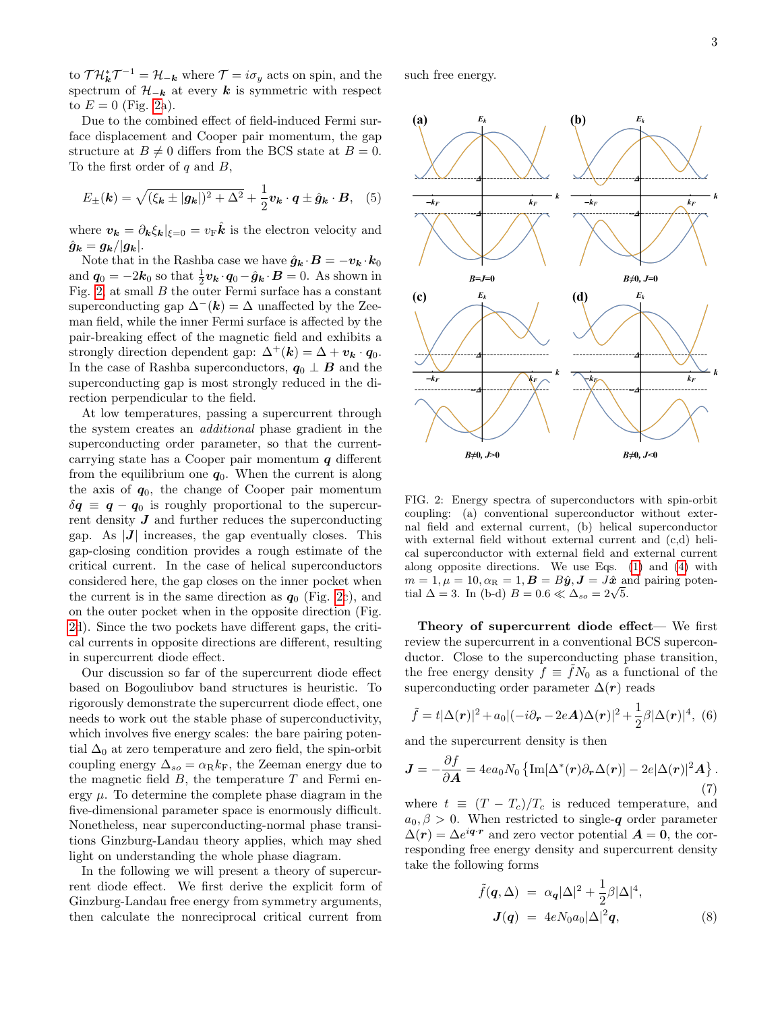to  $\mathcal{T} \mathcal{H}_k^* \mathcal{T}^{-1} = \mathcal{H}_{-k}$  where  $\mathcal{T} = i \sigma_y$  acts on spin, and the spectrum of  $\mathcal{H}_{-k}$  at every k is symmetric with respect to  $E = 0$  (Fig. [2a](#page-2-1)).

Due to the combined effect of field-induced Fermi surface displacement and Cooper pair momentum, the gap structure at  $B \neq 0$  differs from the BCS state at  $B = 0$ . To the first order of  $q$  and  $B$ ,

<span id="page-2-0"></span>
$$
E_{\pm}(\mathbf{k}) = \sqrt{(\xi_{\mathbf{k}} \pm |\mathbf{g}_{\mathbf{k}}|)^2 + \Delta^2} + \frac{1}{2} \mathbf{v}_{\mathbf{k}} \cdot \mathbf{q} \pm \hat{\mathbf{g}}_{\mathbf{k}} \cdot \mathbf{B}, \quad (5)
$$

where  $v_{\mathbf{k}} = \partial_{\mathbf{k}} \xi_{\mathbf{k}}|_{\xi=0} = v_{\mathbf{F}} \hat{\mathbf{k}}$  is the electron velocity and  $\hat{g}_{\bm{k}} = g_{\bm{k}}/|g_{\bm{k}}|.$ 

Note that in the Rashba case we have  $\hat{g}_k \cdot B = -v_k \cdot k_0$ and  $\mathbf{q}_0 = -2\mathbf{k}_0$  so that  $\frac{1}{2}\mathbf{v}_k \cdot \mathbf{q}_0 - \hat{\mathbf{g}}_k \cdot \mathbf{B} = 0$ . As shown in Fig. [2,](#page-2-1) at small  $B$  the outer Fermi surface has a constant superconducting gap  $\Delta^{-}(k) = \Delta$  unaffected by the Zeeman field, while the inner Fermi surface is affected by the pair-breaking effect of the magnetic field and exhibits a strongly direction dependent gap:  $\Delta^+(k) = \Delta + v_k \cdot q_0$ . In the case of Rashba superconductors,  $q_0 \perp B$  and the superconducting gap is most strongly reduced in the direction perpendicular to the field.

At low temperatures, passing a supercurrent through the system creates an additional phase gradient in the superconducting order parameter, so that the currentcarrying state has a Cooper pair momentum  $q$  different from the equilibrium one  $q_0$ . When the current is along the axis of  $q_0$ , the change of Cooper pair momentum  $\delta q \equiv q - q_0$  is roughly proportional to the supercurrent density  $J$  and further reduces the superconducting gap. As  $|J|$  increases, the gap eventually closes. This gap-closing condition provides a rough estimate of the critical current. In the case of helical superconductors considered here, the gap closes on the inner pocket when the current is in the same direction as  $q_0$  (Fig. [2c](#page-2-1)), and on the outer pocket when in the opposite direction (Fig. [2d](#page-2-1)). Since the two pockets have different gaps, the critical currents in opposite directions are different, resulting in supercurrent diode effect.

Our discussion so far of the supercurrent diode effect based on Bogouliubov band structures is heuristic. To rigorously demonstrate the supercurrent diode effect, one needs to work out the stable phase of superconductivity, which involves five energy scales: the bare pairing potential  $\Delta_0$  at zero temperature and zero field, the spin-orbit coupling energy  $\Delta_{so} = \alpha_R k_F$ , the Zeeman energy due to the magnetic field  $B$ , the temperature  $T$  and Fermi energy  $\mu$ . To determine the complete phase diagram in the five-dimensional parameter space is enormously difficult. Nonetheless, near superconducting-normal phase transitions Ginzburg-Landau theory applies, which may shed light on understanding the whole phase diagram.

In the following we will present a theory of supercurrent diode effect. We first derive the explicit form of Ginzburg-Landau free energy from symmetry arguments, then calculate the nonreciprocal critical current from

such free energy.



<span id="page-2-1"></span>FIG. 2: Energy spectra of superconductors with spin-orbit coupling: (a) conventional superconductor without external field and external current, (b) helical superconductor with external field without external current and (c,d) helical superconductor with external field and external current along opposite directions. We use Eqs. [\(1\)](#page-1-0) and [\(4\)](#page-1-1) with  $m = 1, \mu = 10, \alpha_{\rm R} = 1, \mathbf{B} = B\hat{\mathbf{y}}, \mathbf{J} = J\hat{\mathbf{x}}$  and pairing poten $m = 1, \mu = 10, \alpha_{\rm R} = 1, \mathbf{B} = \mathbf{B}\mathbf{y}, \mathbf{J} = \mathbf{J}\mathbf{x}$  as<br>tial  $\Delta = 3$ . In (b-d)  $B = 0.6 \ll \Delta_{so} = 2\sqrt{5}$ .

Theory of supercurrent diode effect— We first review the supercurrent in a conventional BCS superconductor. Close to the superconducting phase transition, the free energy density  $f \equiv fN_0$  as a functional of the superconducting order parameter  $\Delta(r)$  reads

$$
\tilde{f} = t|\Delta(\mathbf{r})|^2 + a_0|(-i\partial_{\mathbf{r}} - 2e\mathbf{A})\Delta(\mathbf{r})|^2 + \frac{1}{2}\beta|\Delta(\mathbf{r})|^4, \tag{6}
$$

and the supercurrent density is then

$$
\mathbf{J} = -\frac{\partial f}{\partial \mathbf{A}} = 4ea_0N_0 \left\{ \text{Im}[\Delta^*(\mathbf{r})\partial_{\mathbf{r}}\Delta(\mathbf{r})] - 2e|\Delta(\mathbf{r})|^2 \mathbf{A} \right\}.
$$
\n(7)

where  $t \equiv (T - T_c)/T_c$  is reduced temperature, and  $a_0, \beta > 0$ . When restricted to single-q order parameter  $\Delta(r) = \Delta e^{i\mathbf{q} \cdot \mathbf{r}}$  and zero vector potential  $\mathbf{A} = \mathbf{0}$ , the corresponding free energy density and supercurrent density take the following forms

$$
\tilde{f}(q, \Delta) = \alpha_q |\Delta|^2 + \frac{1}{2} \beta |\Delta|^4, \nJ(q) = 4eN_0 a_0 |\Delta|^2 q,
$$
\n(8)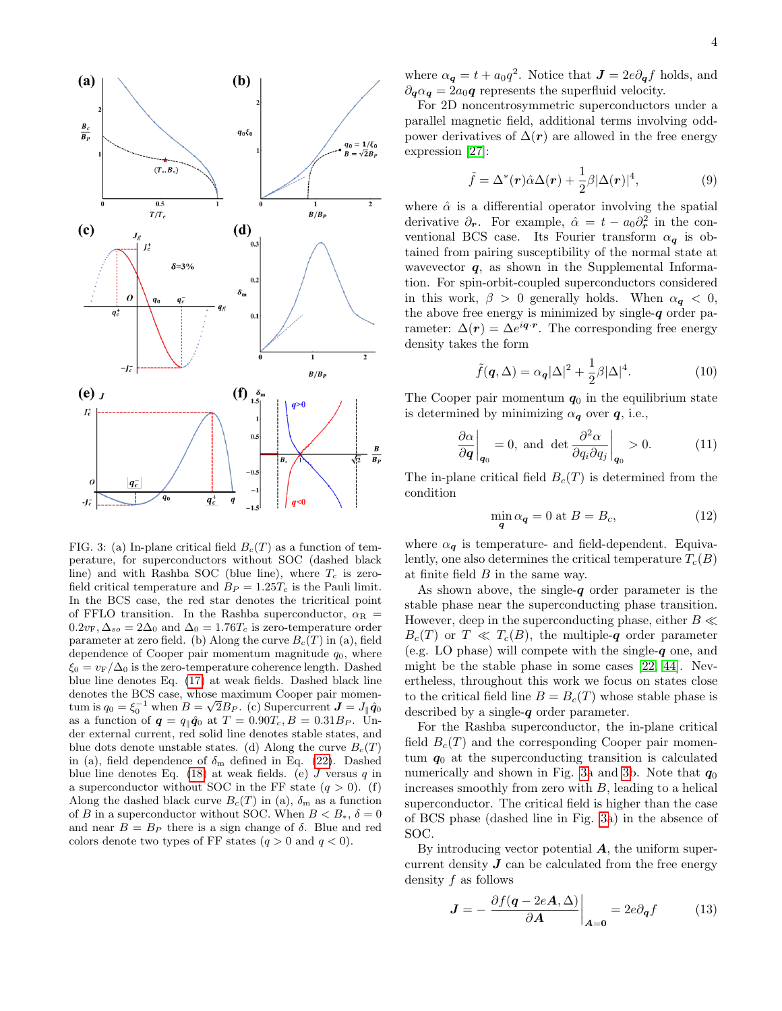

<span id="page-3-0"></span>FIG. 3: (a) In-plane critical field  $B<sub>c</sub>(T)$  as a function of temperature, for superconductors without SOC (dashed black line) and with Rashba SOC (blue line), where  $T_c$  is zerofield critical temperature and  $B_P = 1.25T_c$  is the Pauli limit. In the BCS case, the red star denotes the tricritical point of FFLO transition. In the Rashba superconductor,  $\alpha_R$  =  $0.2v_{\rm F}$ ,  $\Delta_{so} = 2\Delta_0$  and  $\Delta_0 = 1.76T_c$  is zero-temperature order parameter at zero field. (b) Along the curve  $B_c(T)$  in (a), field dependence of Cooper pair momentum magnitude  $q_0$ , where  $\xi_0 = v_F/\Delta_0$  is the zero-temperature coherence length. Dashed blue line denotes Eq. [\(17\)](#page-4-0) at weak fields. Dashed black line denotes the BCS case, whose maximum Cooper pair momendenotes the BCS case, whose maximum Cooper pair momentum is  $q_0 = \xi_0^{-1}$  when  $B = \sqrt{2}B_P$ . (c) Supercurrent  $\bm{J} = J_{\parallel} \hat{\bm{q}}_0$ as a function of  $q = q_{\parallel} \hat{q}_0$  at  $T = 0.90T_c, B = 0.31B_P$ . Under external current, red solid line denotes stable states, and blue dots denote unstable states. (d) Along the curve  $B_c(T)$ in (a), field dependence of  $\delta_{\rm m}$  defined in Eq. [\(22\)](#page-5-0). Dashed blue line denotes Eq. [\(18\)](#page-4-1) at weak fields. (e)  $J$  versus  $q$  in a superconductor without SOC in the FF state  $(q > 0)$ . (f) Along the dashed black curve  $B_c(T)$  in (a),  $\delta_m$  as a function of  $B$  in a superconductor without SOC. When  $B < B_*,\,\delta = 0$ and near  $B = B<sub>P</sub>$  there is a sign change of  $\delta$ . Blue and red colors denote two types of FF states  $(q > 0 \text{ and } q < 0)$ .

where  $\alpha_{q} = t + a_0 q^2$ . Notice that  $J = 2e \partial_q f$  holds, and  $\partial_{\mathbf{q}}\alpha_{\mathbf{q}} = 2a_0\mathbf{q}$  represents the superfluid velocity.

For 2D noncentrosymmetric superconductors under a parallel magnetic field, additional terms involving oddpower derivatives of  $\Delta(r)$  are allowed in the free energy expression [\[27\]](#page-10-7):

$$
\tilde{f} = \Delta^*(r)\hat{\alpha}\Delta(r) + \frac{1}{2}\beta|\Delta(r)|^4,
$$
\n(9)

where  $\hat{\alpha}$  is a differential operator involving the spatial derivative  $\partial_r$ . For example,  $\hat{\alpha} = t - a_0 \partial_r^2$  in the conventional BCS case. Its Fourier transform  $\alpha_{q}$  is obtained from pairing susceptibility of the normal state at wavevector  $q$ , as shown in the Supplemental Information. For spin-orbit-coupled superconductors considered in this work,  $\beta > 0$  generally holds. When  $\alpha_{q} < 0$ , the above free energy is minimized by single- $q$  order parameter:  $\Delta(r) = \Delta e^{i\boldsymbol{q}\cdot \boldsymbol{r}}$ . The corresponding free energy density takes the form

$$
\tilde{f}(\mathbf{q}, \Delta) = \alpha_{\mathbf{q}} |\Delta|^2 + \frac{1}{2} \beta |\Delta|^4.
$$
 (10)

The Cooper pair momentum  $q_0$  in the equilibrium state is determined by minimizing  $\alpha_{q}$  over  $q$ , i.e.,

$$
\left. \frac{\partial \alpha}{\partial \mathbf{q}} \right|_{\mathbf{q}_0} = 0, \text{ and } \det \left. \frac{\partial^2 \alpha}{\partial q_i \partial q_j} \right|_{\mathbf{q}_0} > 0. \tag{11}
$$

The in-plane critical field  $B_c(T)$  is determined from the condition

$$
\min_{\mathbf{q}} \alpha_{\mathbf{q}} = 0 \text{ at } B = B_c,\tag{12}
$$

where  $\alpha_{q}$  is temperature- and field-dependent. Equivalently, one also determines the critical temperature  $T_c(B)$ at finite field B in the same way.

As shown above, the single- $q$  order parameter is the stable phase near the superconducting phase transition. However, deep in the superconducting phase, either  $B \ll$  $B_c(T)$  or  $T \ll T_c(B)$ , the multiple-q order parameter (e.g. LO phase) will compete with the single- $q$  one, and might be the stable phase in some cases [\[22,](#page-10-19) [44\]](#page-10-20). Nevertheless, throughout this work we focus on states close to the critical field line  $B = B<sub>c</sub>(T)$  whose stable phase is described by a single- $q$  order parameter.

For the Rashba superconductor, the in-plane critical field  $B_c(T)$  and the corresponding Cooper pair momentum  $q_0$  at the superconducting transition is calculated numerically and shown in Fig. [3a](#page-3-0) and [3b](#page-3-0). Note that  $q_0$ increases smoothly from zero with  $B$ , leading to a helical superconductor. The critical field is higher than the case of BCS phase (dashed line in Fig. [3a](#page-3-0)) in the absence of SOC.

By introducing vector potential  $\boldsymbol{A}$ , the uniform supercurrent density  $J$  can be calculated from the free energy density f as follows

<span id="page-3-1"></span>
$$
J = -\frac{\partial f(q - 2eA, \Delta)}{\partial A}\bigg|_{A=0} = 2e\partial_q f \qquad (13)
$$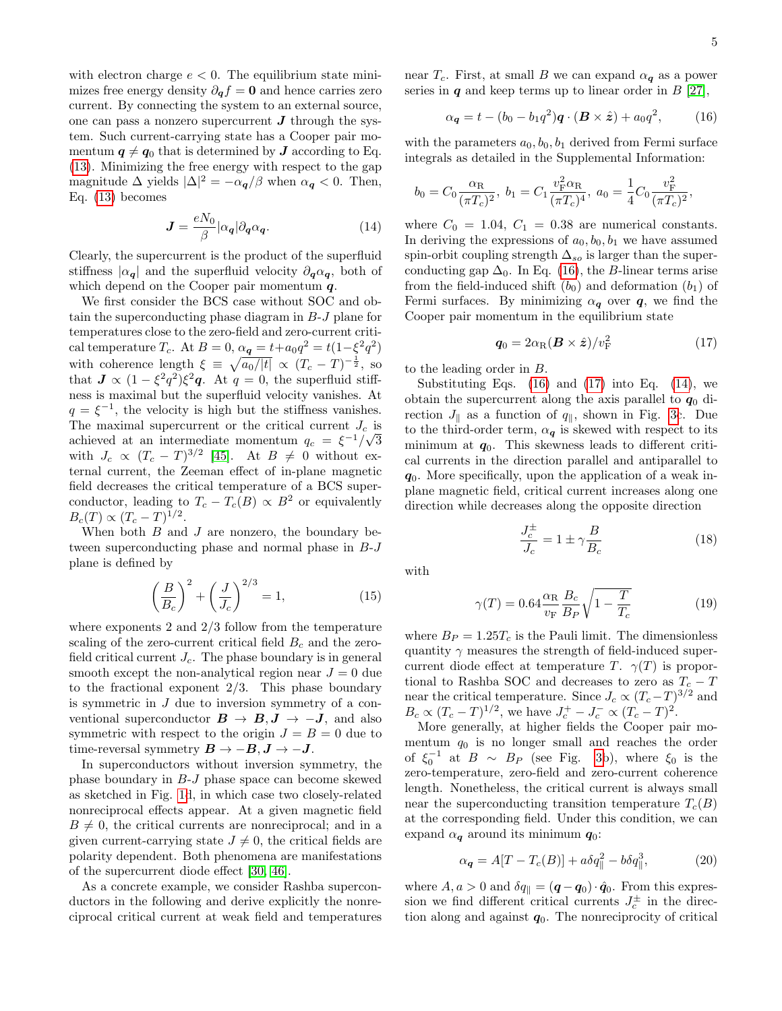with electron charge  $e < 0$ . The equilibrium state minimizes free energy density  $\partial_{q}f = 0$  and hence carries zero current. By connecting the system to an external source, one can pass a nonzero supercurrent  $J$  through the system. Such current-carrying state has a Cooper pair momentum  $q \neq q_0$  that is determined by **J** according to Eq. [\(13\)](#page-3-1). Minimizing the free energy with respect to the gap magnitude  $\Delta$  yields  $|\Delta|^2 = -\alpha_{q}/\beta$  when  $\alpha_{q} < 0$ . Then, Eq. [\(13\)](#page-3-1) becomes

<span id="page-4-3"></span>
$$
\mathbf{J} = \frac{eN_0}{\beta} |\alpha_{\mathbf{q}}| \partial_{\mathbf{q}} \alpha_{\mathbf{q}}.\tag{14}
$$

Clearly, the supercurrent is the product of the superfluid stiffness  $|\alpha_{q}|$  and the superfluid velocity  $\partial_{q} \alpha_{q}$ , both of which depend on the Cooper pair momentum  $q$ .

We first consider the BCS case without SOC and obtain the superconducting phase diagram in B-J plane for temperatures close to the zero-field and zero-current critical temperature  $T_c$ . At  $B = 0$ ,  $\alpha_q = t + a_0 q^2 = t(1 - \xi^2 q^2)$ with coherence length  $\xi \equiv \sqrt{a_0/|t|} \propto (T_c - T)^{-\frac{1}{2}}$ , so that  $J \propto (1 - \xi^2 q^2) \xi^2 q$ . At  $q = 0$ , the superfluid stiffness is maximal but the superfluid velocity vanishes. At  $q = \xi^{-1}$ , the velocity is high but the stiffness vanishes. The maximal supercurrent or the critical current  $J_c$  is achieved at an intermediate momentum  $q_c = \xi^{-1}/\sqrt{3}$ with  $J_c \propto (T_c - T)^{3/2}$  [\[45\]](#page-10-21). At  $B \neq 0$  without external current, the Zeeman effect of in-plane magnetic field decreases the critical temperature of a BCS superconductor, leading to  $T_c - T_c(B) \propto B^2$  or equivalently  $B_c(T) \propto (T_c - T)^{1/2}.$ 

When both  $B$  and  $J$  are nonzero, the boundary between superconducting phase and normal phase in B-J plane is defined by

$$
\left(\frac{B}{B_c}\right)^2 + \left(\frac{J}{J_c}\right)^{2/3} = 1,\tag{15}
$$

where exponents 2 and 2/3 follow from the temperature scaling of the zero-current critical field  $B<sub>c</sub>$  and the zerofield critical current  $J_c$ . The phase boundary is in general smooth except the non-analytical region near  $J = 0$  due to the fractional exponent  $2/3$ . This phase boundary is symmetric in J due to inversion symmetry of a conventional superconductor  $B \to B, J \to -J$ , and also symmetric with respect to the origin  $J = B = 0$  due to time-reversal symmetry  $B \to -B, J \to -J$ .

In superconductors without inversion symmetry, the phase boundary in B-J phase space can become skewed as sketched in Fig. [1d](#page-0-0), in which case two closely-related nonreciprocal effects appear. At a given magnetic field  $B \neq 0$ , the critical currents are nonreciprocal; and in a given current-carrying state  $J \neq 0$ , the critical fields are polarity dependent. Both phenomena are manifestations of the supercurrent diode effect [\[30,](#page-10-12) [46\]](#page-10-22).

As a concrete example, we consider Rashba superconductors in the following and derive explicitly the nonreciprocal critical current at weak field and temperatures near  $T_c$ . First, at small B we can expand  $\alpha_q$  as a power series in  $q$  and keep terms up to linear order in  $B$  [\[27\]](#page-10-7),

<span id="page-4-2"></span>
$$
\alpha_{\mathbf{q}} = t - (b_0 - b_1 q^2) \mathbf{q} \cdot (\mathbf{B} \times \hat{\mathbf{z}}) + a_0 q^2, \quad (16)
$$

with the parameters  $a_0, b_0, b_1$  derived from Fermi surface integrals as detailed in the Supplemental Information:

<span id="page-4-0"></span>
$$
b_0 = C_0 \frac{\alpha_{\rm R}}{(\pi T_c)^2}
$$
,  $b_1 = C_1 \frac{v_{\rm F}^2 \alpha_{\rm R}}{(\pi T_c)^4}$ ,  $a_0 = \frac{1}{4} C_0 \frac{v_{\rm F}^2}{(\pi T_c)^2}$ ,

where  $C_0 = 1.04$ ,  $C_1 = 0.38$  are numerical constants. In deriving the expressions of  $a_0, b_0, b_1$  we have assumed spin-orbit coupling strength  $\Delta_{so}$  is larger than the superconducting gap  $\Delta_0$ . In Eq. [\(16\)](#page-4-2), the B-linear terms arise from the field-induced shift  $(b_0)$  and deformation  $(b_1)$  of Fermi surfaces. By minimizing  $\alpha_{q}$  over  $q$ , we find the Cooper pair momentum in the equilibrium state

$$
\boldsymbol{q}_0 = 2\alpha_{\rm R}(\boldsymbol{B} \times \hat{\boldsymbol{z}})/v_{\rm F}^2 \tag{17}
$$

to the leading order in B.

Substituting Eqs.  $(16)$  and  $(17)$  into Eq.  $(14)$ , we obtain the supercurrent along the axis parallel to  $q_0$  direction  $J_{\parallel}$  as a function of  $q_{\parallel}$ , shown in Fig. [3c](#page-3-0). Due to the third-order term,  $\alpha_{q}$  is skewed with respect to its minimum at  $q_0$ . This skewness leads to different critical currents in the direction parallel and antiparallel to  $q_0$ . More specifically, upon the application of a weak inplane magnetic field, critical current increases along one direction while decreases along the opposite direction

<span id="page-4-1"></span>
$$
\frac{J_c^{\pm}}{J_c} = 1 \pm \gamma \frac{B}{B_c} \tag{18}
$$

with

<span id="page-4-5"></span>
$$
\gamma(T) = 0.64 \frac{\alpha_{\rm R}}{v_{\rm F}} \frac{B_c}{B_P} \sqrt{1 - \frac{T}{T_c}}
$$
(19)

where  $B_P = 1.25T_c$  is the Pauli limit. The dimensionless quantity  $\gamma$  measures the strength of field-induced supercurrent diode effect at temperature T.  $\gamma(T)$  is proportional to Rashba SOC and decreases to zero as  $T_c - T$ near the critical temperature. Since  $J_c \propto (T_c - T)^{3/2}$  and  $B_c \propto (T_c - T)^{1/2}$ , we have  $J_c^+ - J_c^- \propto (T_c - T)^2$ .

More generally, at higher fields the Cooper pair momentum  $q_0$  is no longer small and reaches the order of  $\xi_0^{-1}$  at  $B \sim B_P$  (see Fig. [3b](#page-3-0)), where  $\xi_0$  is the zero-temperature, zero-field and zero-current coherence length. Nonetheless, the critical current is always small near the superconducting transition temperature  $T_c(B)$ at the corresponding field. Under this condition, we can expand  $\alpha_{q}$  around its minimum  $q_0$ :

<span id="page-4-4"></span>
$$
\alpha_{\mathbf{q}} = A[T - T_c(B)] + a\delta q_{\parallel}^2 - b\delta q_{\parallel}^3,\tag{20}
$$

where  $A, a > 0$  and  $\delta q_{\parallel} = (\boldsymbol{q} - \boldsymbol{q}_0) \cdot \hat{\boldsymbol{q}}_0$ . From this expression we find different critical currents  $J_c^{\pm}$  in the direction along and against  $q_0$ . The nonreciprocity of critical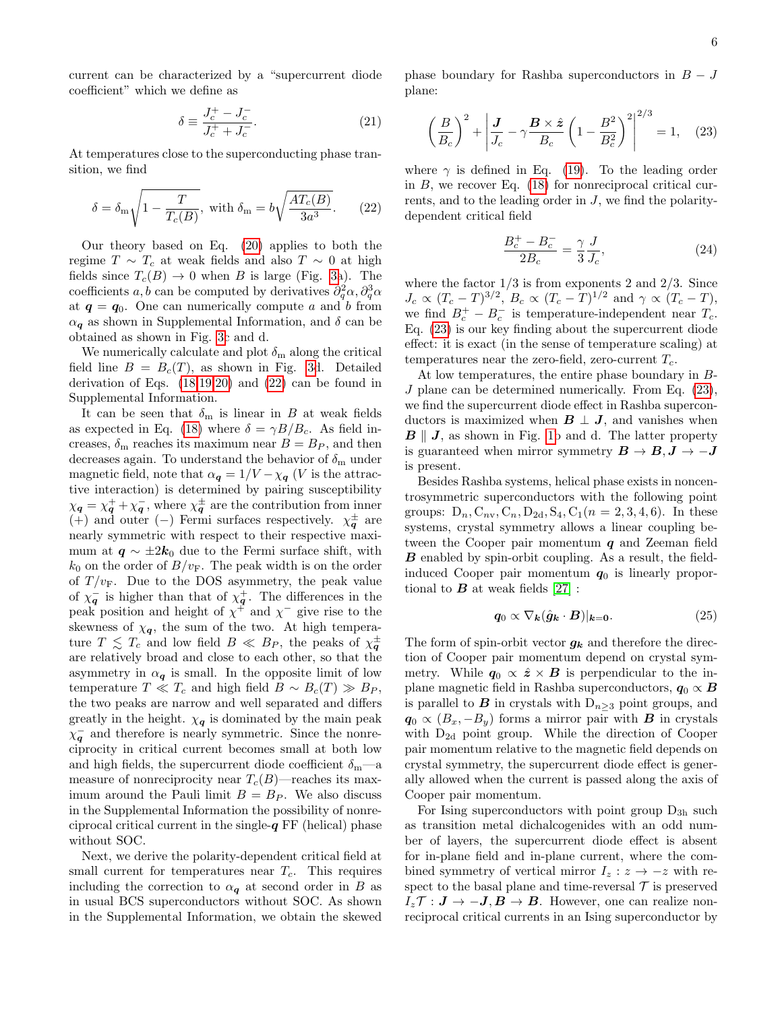current can be characterized by a "supercurrent diode coefficient" which we define as

$$
\delta \equiv \frac{J_c^+ - J_c^-}{J_c^+ + J_c^-}.\tag{21}
$$

At temperatures close to the superconducting phase transition, we find

<span id="page-5-0"></span>
$$
\delta = \delta_{\rm m} \sqrt{1 - \frac{T}{T_c(B)}}, \text{ with } \delta_{\rm m} = b \sqrt{\frac{AT_c(B)}{3a^3}}. \tag{22}
$$

Our theory based on Eq. [\(20\)](#page-4-4) applies to both the regime  $T \sim T_c$  at weak fields and also  $T \sim 0$  at high fields since  $T_c(B) \to 0$  when B is large (Fig. [3a](#page-3-0)). The coefficients  $a, b$  can be computed by derivatives  $\partial_q^2 \alpha, \partial_q^3 \alpha$ at  $q = q_0$ . One can numerically compute a and b from  $\alpha_{q}$  as shown in Supplemental Information, and  $\delta$  can be obtained as shown in Fig. [3c](#page-3-0) and d.

We numerically calculate and plot  $\delta_{\rm m}$  along the critical field line  $B = B<sub>c</sub>(T)$ , as shown in Fig. [3d](#page-3-0). Detailed derivation of Eqs. [\(18,](#page-4-1)[19,](#page-4-5)[20\)](#page-4-4) and [\(22\)](#page-5-0) can be found in Supplemental Information.

It can be seen that  $\delta_{\rm m}$  is linear in B at weak fields as expected in Eq. [\(18\)](#page-4-1) where  $\delta = \gamma B/B_c$ . As field increases,  $\delta_{\rm m}$  reaches its maximum near  $B = B_P$ , and then decreases again. To understand the behavior of  $\delta_{\rm m}$  under magnetic field, note that  $\alpha_{q} = 1/V - \chi_{q}$  (V is the attractive interaction) is determined by pairing susceptibility  $\chi_{\mathbf{q}} = \chi_{\mathbf{q}}^{+} + \chi_{\mathbf{q}}^{-}$ , where  $\chi_{\mathbf{q}}^{\pm}$  are the contribution from inner (+) and outer (−) Fermi surfaces respectively.  $\chi_{\bm{q}}^{\pm}$  are nearly symmetric with respect to their respective maximum at  $q \sim \pm 2k_0$  due to the Fermi surface shift, with  $k_0$  on the order of  $B/v_F$ . The peak width is on the order of  $T/v_F$ . Due to the DOS asymmetry, the peak value of  $\chi_{\mathbf{q}}^-$  is higher than that of  $\chi_{\mathbf{q}}^+$ . The differences in the peak position and height of  $\chi^+$  and  $\chi^-$  give rise to the skewness of  $\chi_q$ , the sum of the two. At high temperature  $T \leq T_c$  and low field  $B \ll B_P$ , the peaks of  $\chi_{\mathbf{q}}^{\pm}$ are relatively broad and close to each other, so that the asymmetry in  $\alpha_{q}$  is small. In the opposite limit of low temperature  $T \ll T_c$  and high field  $B \sim B_c(T) \gg B_P$ , the two peaks are narrow and well separated and differs greatly in the height.  $\chi_q$  is dominated by the main peak  $\chi_{\mathbf{q}}^-$  and therefore is nearly symmetric. Since the nonreciprocity in critical current becomes small at both low and high fields, the supercurrent diode coefficient  $\delta_{\rm m}$ —a measure of nonreciprocity near  $T_c(B)$ —reaches its maximum around the Pauli limit  $B = B<sub>P</sub>$ . We also discuss in the Supplemental Information the possibility of nonreciprocal critical current in the single- $q$  FF (helical) phase without SOC.

Next, we derive the polarity-dependent critical field at small current for temperatures near  $T_c$ . This requires including the correction to  $\alpha_{q}$  at second order in B as in usual BCS superconductors without SOC. As shown in the Supplemental Information, we obtain the skewed phase boundary for Rashba superconductors in  $B - J$ plane:

<span id="page-5-1"></span>
$$
\left(\frac{B}{B_c}\right)^2 + \left|\frac{J}{J_c} - \gamma \frac{B \times \hat{z}}{B_c} \left(1 - \frac{B^2}{B_c^2}\right)^2\right|^{2/3} = 1, \quad (23)
$$

where  $\gamma$  is defined in Eq. [\(19\)](#page-4-5). To the leading order in  $B$ , we recover Eq. [\(18\)](#page-4-1) for nonreciprocal critical currents, and to the leading order in  $J$ , we find the polaritydependent critical field

$$
\frac{B_c^+ - B_c^-}{2B_c} = \frac{\gamma}{3} \frac{J}{J_c},\tag{24}
$$

where the factor  $1/3$  is from exponents 2 and  $2/3$ . Since  $J_c \propto (T_c - T)^{3/2}$ ,  $B_c \propto (T_c - T)^{1/2}$  and  $\gamma \propto (T_c - T)$ , we find  $B_c^+ - B_c^-$  is temperature-independent near  $T_c$ . Eq. [\(23\)](#page-5-1) is our key finding about the supercurrent diode effect: it is exact (in the sense of temperature scaling) at temperatures near the zero-field, zero-current  $T_c$ .

At low temperatures, the entire phase boundary in B-J plane can be determined numerically. From Eq. [\(23\)](#page-5-1), we find the supercurrent diode effect in Rashba superconductors is maximized when  $\mathbf{B} \perp \mathbf{J}$ , and vanishes when  $\mathbf{B} \parallel \mathbf{J}$ , as shown in Fig. [1b](#page-0-0) and d. The latter property is guaranteed when mirror symmetry  $B \to B, J \to -J$ is present.

Besides Rashba systems, helical phase exists in noncentrosymmetric superconductors with the following point groups:  $D_n, C_{nv}, C_n, D_{2d}, S_4, C_1(n = 2, 3, 4, 6)$ . In these systems, crystal symmetry allows a linear coupling between the Cooper pair momentum  $q$  and Zeeman field **B** enabled by spin-orbit coupling. As a result, the fieldinduced Cooper pair momentum  $q_0$  is linearly proportional to  $\bf{B}$  at weak fields [\[27\]](#page-10-7) :

$$
\mathbf{q}_0 \propto \nabla_{\mathbf{k}} (\hat{\mathbf{g}}_{\mathbf{k}} \cdot \mathbf{B})|_{\mathbf{k}=\mathbf{0}}.\tag{25}
$$

The form of spin-orbit vector  $g_k$  and therefore the direction of Cooper pair momentum depend on crystal symmetry. While  $q_0 \propto \hat{z} \times B$  is perpendicular to the inplane magnetic field in Rashba superconductors,  $q_0 \propto B$ is parallel to **B** in crystals with  $D_{n>3}$  point groups, and  $q_0 \propto (B_x, -B_y)$  forms a mirror pair with **B** in crystals with  $D_{2d}$  point group. While the direction of Cooper pair momentum relative to the magnetic field depends on crystal symmetry, the supercurrent diode effect is generally allowed when the current is passed along the axis of Cooper pair momentum.

For Ising superconductors with point group  $D_{3h}$  such as transition metal dichalcogenides with an odd number of layers, the supercurrent diode effect is absent for in-plane field and in-plane current, where the combined symmetry of vertical mirror  $I_z : z \rightarrow -z$  with respect to the basal plane and time-reversal  $\mathcal T$  is preserved  $I_z \mathcal{T}: \mathbf{J} \to -\mathbf{J}, \mathbf{B} \to \mathbf{B}$ . However, one can realize nonreciprocal critical currents in an Ising superconductor by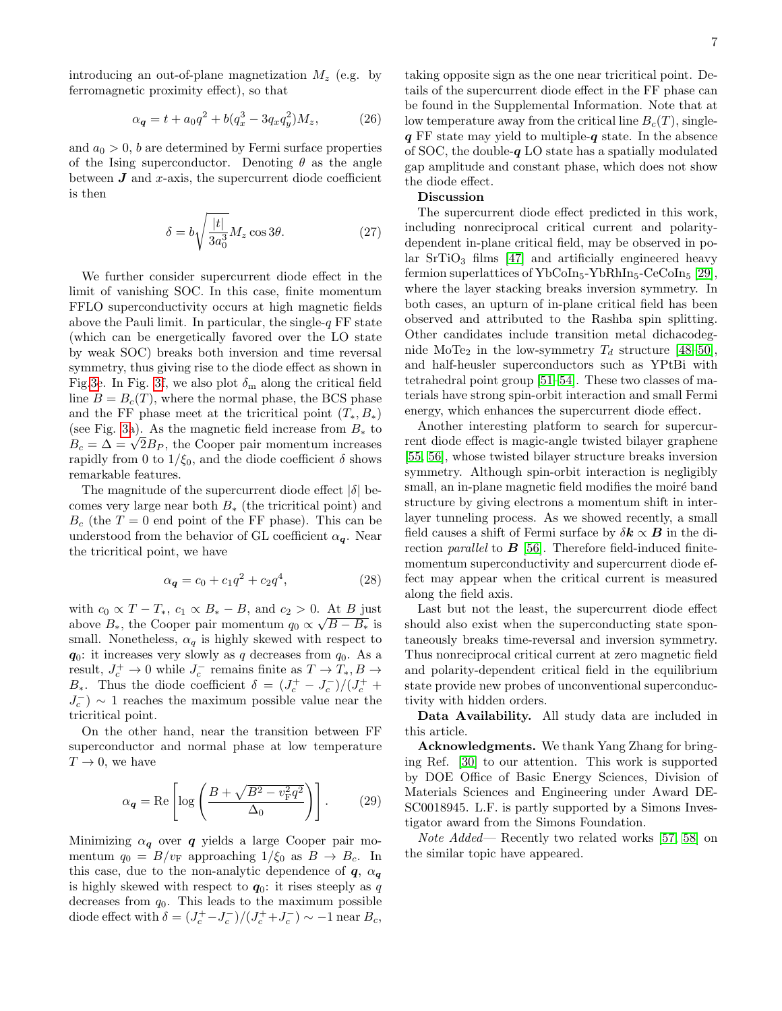$$
\alpha_{q} = t + a_{0}q^{2} + b(q_{x}^{3} - 3q_{x}q_{y}^{2})M_{z}, \qquad (26)
$$

and  $a_0 > 0$ , b are determined by Fermi surface properties of the Ising superconductor. Denoting  $\theta$  as the angle between  $\bm{J}$  and x-axis, the supercurrent diode coefficient is then

$$
\delta = b \sqrt{\frac{|t|}{3a_0^3}} M_z \cos 3\theta.
$$
 (27)

We further consider supercurrent diode effect in the limit of vanishing SOC. In this case, finite momentum FFLO superconductivity occurs at high magnetic fields above the Pauli limit. In particular, the single- $q$  FF state (which can be energetically favored over the LO state by weak SOC) breaks both inversion and time reversal symmetry, thus giving rise to the diode effect as shown in Fig[.3e](#page-3-0). In Fig. [3f](#page-3-0), we also plot  $\delta_{\rm m}$  along the critical field line  $B = B<sub>c</sub>(T)$ , where the normal phase, the BCS phase and the FF phase meet at the tricritical point  $(T_*, B_*)$ (see Fig. [3a](#page-3-0)). As the magnetic field increase from  $B_*$  to (see Fig. 3a). As the magnetic field increase from  $B_*$  to  $B_c = \Delta = \sqrt{2B_P}$ , the Cooper pair momentum increases rapidly from 0 to  $1/\xi_0$ , and the diode coefficient  $\delta$  shows remarkable features.

The magnitude of the supercurrent diode effect  $|\delta|$  becomes very large near both  $B_*$  (the tricritical point) and  $B_c$  (the  $T = 0$  end point of the FF phase). This can be understood from the behavior of GL coefficient  $\alpha_{q}$ . Near the tricritical point, we have

$$
\alpha_{q} = c_0 + c_1 q^2 + c_2 q^4, \qquad (28)
$$

with  $c_0 \propto T - T_*$ ,  $c_1 \propto B_* - B$ , and  $c_2 > 0$ . At B just above  $B_*$ , the Cooper pair momentum  $q_0 \propto \sqrt{B - B_*}$  is small. Nonetheless,  $\alpha_q$  is highly skewed with respect to  $q_0$ : it increases very slowly as q decreases from  $q_0$ . As a result,  $J_c^+ \rightarrow 0$  while  $J_c^-$  remains finite as  $T \rightarrow T_*, B \rightarrow$  $B_*$ . Thus the diode coefficient  $\delta = (J_c^+ - J_c^-)/(J_c^+ +$  $J_c^-$ ) ∼ 1 reaches the maximum possible value near the tricritical point.

On the other hand, near the transition between FF superconductor and normal phase at low temperature  $T \rightarrow 0$ , we have

$$
\alpha_{\mathbf{q}} = \text{Re}\left[\log\left(\frac{B + \sqrt{B^2 - v_{\text{F}}^2 q^2}}{\Delta_0}\right)\right].\tag{29}
$$

Minimizing  $\alpha_{q}$  over q yields a large Cooper pair momentum  $q_0 = B/v_F$  approaching  $1/\xi_0$  as  $B \to B_c$ . In this case, due to the non-analytic dependence of  $q, \alpha_q$ is highly skewed with respect to  $q_0$ : it rises steeply as q decreases from  $q_0$ . This leads to the maximum possible diode effect with  $\delta = (J_c^+ - J_c^-)/(J_c^+ + J_c^-) \sim -1$  near  $B_c$ ,

taking opposite sign as the one near tricritical point. Details of the supercurrent diode effect in the FF phase can be found in the Supplemental Information. Note that at low temperature away from the critical line  $B_c(T)$ , single $q$  FF state may yield to multiple- $q$  state. In the absence of SOC, the double- $q$  LO state has a spatially modulated gap amplitude and constant phase, which does not show the diode effect.

## Discussion

The supercurrent diode effect predicted in this work, including nonreciprocal critical current and polaritydependent in-plane critical field, may be observed in polar  $SrTiO<sub>3</sub>$  films [\[47\]](#page-10-23) and artificially engineered heavy fermion superlattices of  $YbCoIn_5-YbRhIn_5-CeCoIn_5$  [\[29\]](#page-10-11), where the layer stacking breaks inversion symmetry. In both cases, an upturn of in-plane critical field has been observed and attributed to the Rashba spin splitting. Other candidates include transition metal dichacodegnide MoTe<sub>2</sub> in the low-symmetry  $T_d$  structure [\[48–](#page-10-24)[50\]](#page-10-25), and half-heusler superconductors such as YPtBi with tetrahedral point group [\[51](#page-10-26)[–54\]](#page-11-0). These two classes of materials have strong spin-orbit interaction and small Fermi energy, which enhances the supercurrent diode effect.

Another interesting platform to search for supercurrent diode effect is magic-angle twisted bilayer graphene [\[55,](#page-11-1) [56\]](#page-11-2), whose twisted bilayer structure breaks inversion symmetry. Although spin-orbit interaction is negligibly small, an in-plane magnetic field modifies the moire band structure by giving electrons a momentum shift in interlayer tunneling process. As we showed recently, a small field causes a shift of Fermi surface by  $\delta k \propto B$  in the direction *parallel* to  $\boldsymbol{B}$  [\[56\]](#page-11-2). Therefore field-induced finitemomentum superconductivity and supercurrent diode effect may appear when the critical current is measured along the field axis.

Last but not the least, the supercurrent diode effect should also exist when the superconducting state spontaneously breaks time-reversal and inversion symmetry. Thus nonreciprocal critical current at zero magnetic field and polarity-dependent critical field in the equilibrium state provide new probes of unconventional superconductivity with hidden orders.

Data Availability. All study data are included in this article.

Acknowledgments. We thank Yang Zhang for bringing Ref. [\[30\]](#page-10-12) to our attention. This work is supported by DOE Office of Basic Energy Sciences, Division of Materials Sciences and Engineering under Award DE-SC0018945. L.F. is partly supported by a Simons Investigator award from the Simons Foundation.

Note Added— Recently two related works [\[57,](#page-11-3) [58\]](#page-11-4) on the similar topic have appeared.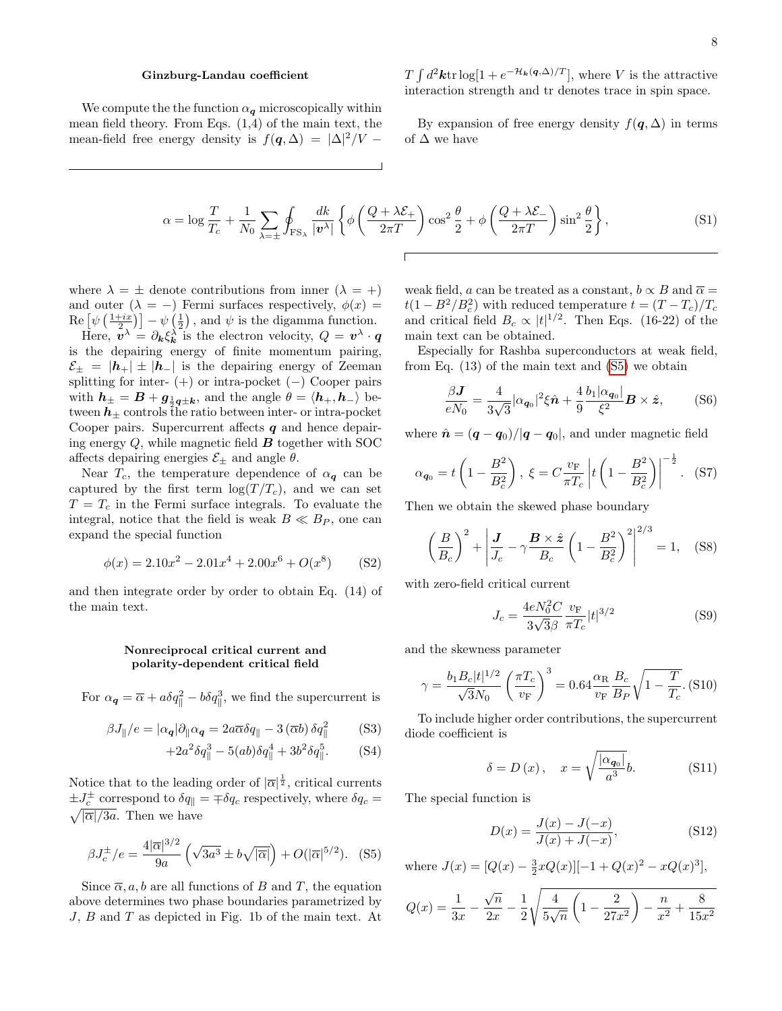#### Ginzburg-Landau coefficient

We compute the the function  $\alpha_{\bm{q}}$  microscopically within mean field theory. From Eqs.  $(1,4)$  of the main text, the mean-field free energy density is  $f(\mathbf{q}, \Delta) = |\Delta|^2 / V -$ 

 $T \int d^2\mathbf{k} \text{tr} \log[1 + e^{-\mathcal{H}_k(\mathbf{q}, \Delta)/T}],$  where V is the attractive interaction strength and tr denotes trace in spin space.

By expansion of free energy density  $f(\boldsymbol{q}, \Delta)$  in terms of  $\Delta$  we have

$$
\alpha = \log \frac{T}{T_c} + \frac{1}{N_0} \sum_{\lambda = \pm} \oint_{\text{FS}_\lambda} \frac{dk}{|\mathbf{v}^\lambda|} \left\{ \phi \left( \frac{Q + \lambda \mathcal{E}_+}{2\pi T} \right) \cos^2 \frac{\theta}{2} + \phi \left( \frac{Q + \lambda \mathcal{E}_-}{2\pi T} \right) \sin^2 \frac{\theta}{2} \right\},\tag{S1}
$$

where  $\lambda = \pm$  denote contributions from inner  $(\lambda = +)$ and outer  $(\lambda = -)$  Fermi surfaces respectively,  $\phi(x) =$  $\text{Re} \left[ \psi \left( \frac{1+ix}{2} \right) \right] - \psi \left( \frac{1}{2} \right)$ , and  $\psi$  is the digamma function.

Here,  $\mathbf{v}^{\lambda} = \partial_{\mathbf{k}} \xi_{\mathbf{k}}^{\lambda}$  is the electron velocity,  $Q = \mathbf{v}^{\lambda} \cdot \mathbf{q}$ is the depairing energy of finite momentum pairing,  $\mathcal{E}_{\pm} = |\boldsymbol{h}_{+}| \pm |\boldsymbol{h}_{-}|$  is the depairing energy of Zeeman splitting for inter-  $(+)$  or intra-pocket  $(-)$  Cooper pairs with  $h_{\pm} = B + g_{\frac{1}{2}q \pm k}$ , and the angle  $\theta = \langle h_+, h_- \rangle$  between  $h_{\pm}$  controls the ratio between inter- or intra-pocket Cooper pairs. Supercurrent affects  $q$  and hence depairing energy  $Q$ , while magnetic field  $\boldsymbol{B}$  together with SOC affects depairing energies  $\mathcal{E}_{\pm}$  and angle  $\theta$ .

Near  $T_c$ , the temperature dependence of  $\alpha_{q}$  can be captured by the first term  $\log(T/T_c)$ , and we can set  $T = T_c$  in the Fermi surface integrals. To evaluate the integral, notice that the field is weak  $B \ll B_P$ , one can expand the special function

$$
\phi(x) = 2.10x^2 - 2.01x^4 + 2.00x^6 + O(x^8)
$$
 (S2)

and then integrate order by order to obtain Eq. (14) of the main text.

### Nonreciprocal critical current and polarity-dependent critical field

For  $\alpha_{q} = \overline{\alpha} + a\delta q_{\parallel}^{2} - b\delta q_{\parallel}^{3}$ , we find the supercurrent is

$$
\beta J_{\parallel}/e = |\alpha_{\mathbf{q}}| \partial_{\parallel} \alpha_{\mathbf{q}} = 2a \overline{\alpha} \delta q_{\parallel} - 3 (\overline{\alpha} b) \delta q_{\parallel}^2 \tag{S3}
$$

$$
+2a^2\delta q_{\parallel}^3 - 5(ab)\delta q_{\parallel}^4 + 3b^2\delta q_{\parallel}^5. \tag{S4}
$$

Notice that to the leading order of  $|\overline{\alpha}|^{\frac{1}{2}}$ , critical currents  $\pm J_c^{\pm}$  correspond to  $\delta q_{\parallel} = \mp \delta q_c$  respectively, where  $\delta q_c =$  $\sqrt{|\overline{\alpha}|/3a}$ . Then we have

<span id="page-7-0"></span>
$$
\beta J_c^{\pm}/e = \frac{4|\overline{\alpha}|^{3/2}}{9a} \left(\sqrt{3a^3} \pm b\sqrt{|\overline{\alpha}|}\right) + O(|\overline{\alpha}|^{5/2}). \quad (S5)
$$

Since  $\overline{\alpha}$ , a, b are all functions of B and T, the equation above determines two phase boundaries parametrized by J, B and T as depicted in Fig. 1b of the main text. At

weak field, a can be treated as a constant,  $b \propto B$  and  $\overline{\alpha} =$  $t(1 - B^2/B_c^2)$  with reduced temperature  $t = (T - T_c)/T_c$ and critical field  $B_c \propto |t|^{1/2}$ . Then Eqs. (16-22) of the main text can be obtained.

Especially for Rashba superconductors at weak field, from Eq. (13) of the main text and [\(S5\)](#page-7-0) we obtain

$$
\frac{\beta \mathbf{J}}{eN_0} = \frac{4}{3\sqrt{3}} |\alpha_{\mathbf{q}_0}|^2 \xi \hat{\mathbf{n}} + \frac{4}{9} \frac{b_1 |\alpha_{\mathbf{q}_0}|}{\xi^2} \mathbf{B} \times \hat{\mathbf{z}}, \quad (S6)
$$

where  $\hat{\boldsymbol{n}} = (\boldsymbol{q} - \boldsymbol{q}_0)/|\boldsymbol{q} - \boldsymbol{q}_0|$ , and under magnetic field

$$
\alpha_{\mathbf{q}_0} = t \left( 1 - \frac{B^2}{B_c^2} \right), \ \xi = C \frac{v_{\rm F}}{\pi T_c} \left| t \left( 1 - \frac{B^2}{B_c^2} \right) \right|^{-\frac{1}{2}}. \tag{S7}
$$

Then we obtain the skewed phase boundary

$$
\left(\frac{B}{B_c}\right)^2 + \left|\frac{J}{J_c} - \gamma \frac{B \times \hat{z}}{B_c} \left(1 - \frac{B^2}{B_c^2}\right)^2\right|^{2/3} = 1, \quad \text{(S8)}
$$

with zero-field critical current

$$
J_c = \frac{4eN_0^2C}{3\sqrt{3}\beta} \frac{v_{\rm F}}{\pi T_c} |t|^{3/2}
$$
 (S9)

and the skewness parameter

$$
\gamma = \frac{b_1 B_c |t|^{1/2}}{\sqrt{3} N_0} \left(\frac{\pi T_c}{v_{\rm F}}\right)^3 = 0.64 \frac{\alpha_{\rm R}}{v_{\rm F}} \frac{B_c}{B_P} \sqrt{1 - \frac{T}{T_c}}. \text{ (S10)}
$$

To include higher order contributions, the supercurrent diode coefficient is

$$
\delta = D(x), \quad x = \sqrt{\frac{|\alpha_{q_0}|}{a^3}}b. \tag{S11}
$$

The special function is

$$
D(x) = \frac{J(x) - J(-x)}{J(x) + J(-x)},
$$
\n(S12)

where  $J(x) = [Q(x) - \frac{3}{2}xQ(x)][-1 + Q(x)^2 - xQ(x)^3],$ 

$$
Q(x) = \frac{1}{3x} - \frac{\sqrt{n}}{2x} - \frac{1}{2}\sqrt{\frac{4}{5\sqrt{n}}\left(1 - \frac{2}{27x^2}\right) - \frac{n}{x^2} + \frac{8}{15x^2}}
$$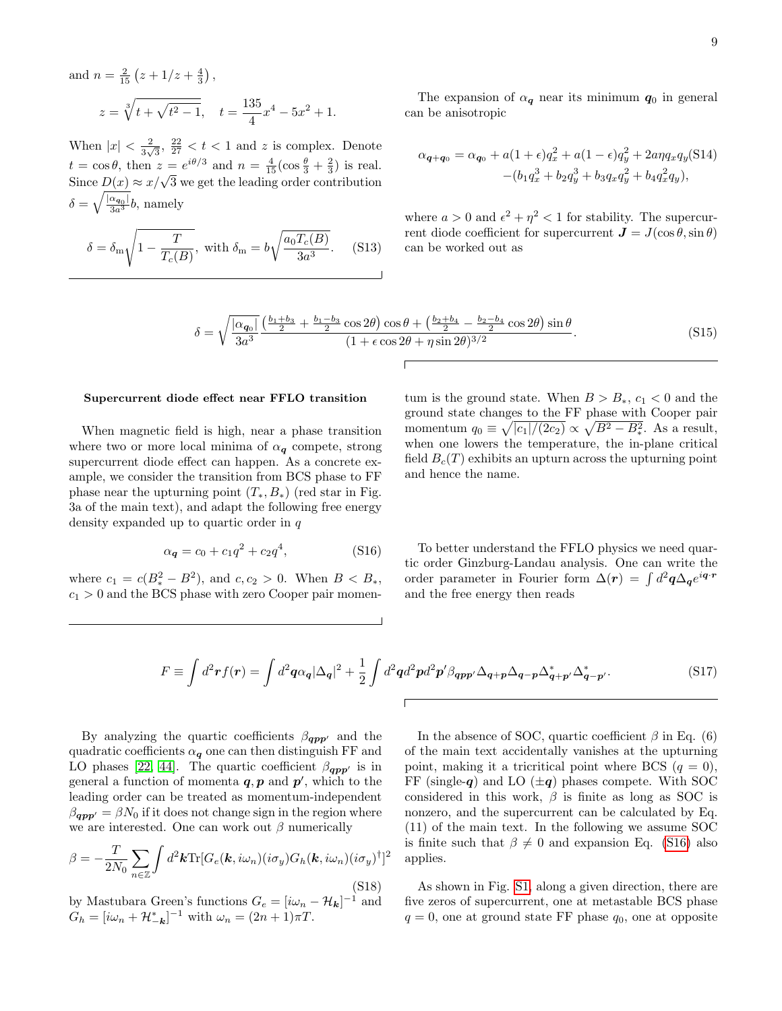and 
$$
n = \frac{2}{15} (z + 1/z + \frac{4}{3}),
$$
  
\n $z = \sqrt[3]{t + \sqrt{t^2 - 1}}, \quad t = \frac{135}{4} x^4 - 5x^2 + 1.$ 

When  $|x| < \frac{2}{3}$  $\frac{2}{3\sqrt{3}}, \frac{22}{27} < t < 1$  and z is complex. Denote  $t = \cos \theta$ , then  $z = e^{i\theta/3}$  and  $n = \frac{4}{15} (\cos \frac{\theta}{3} + \frac{2}{3})$  is real.  $u = \cos v$ , then  $z = e^{\gamma}$  and  $u = \frac{1}{15}(\cos \frac{\pi}{3} + \frac{\pi}{3})$  is real.<br>Since  $D(x) \approx x/\sqrt{3}$  we get the leading order contribution  $\delta = \sqrt{\frac{|\alpha_{\bm{q}_0}|}{3a^3}}b$ , namely

$$
\delta = \delta_{\rm m} \sqrt{1 - \frac{T}{T_c(B)}}, \text{ with } \delta_{\rm m} = b \sqrt{\frac{a_0 T_c(B)}{3a^3}}. \tag{S13}
$$

The expansion of  $\alpha_{q}$  near its minimum  $q_{0}$  in general can be anisotropic

$$
\alpha_{\mathbf{q}+\mathbf{q}_0} = \alpha_{\mathbf{q}_0} + a(1+\epsilon)q_x^2 + a(1-\epsilon)q_y^2 + 2a\eta q_x q_y(\text{S14})
$$

$$
-(b_1 q_x^3 + b_2 q_y^3 + b_3 q_x q_y^2 + b_4 q_x^2 q_y),
$$

where  $a > 0$  and  $\epsilon^2 + \eta^2 < 1$  for stability. The supercurrent diode coefficient for supercurrent  $\mathbf{J} = J(\cos \theta, \sin \theta)$ can be worked out as

$$
\delta = \sqrt{\frac{|\alpha_{q_0}|}{3a^3}} \frac{\left(\frac{b_1 + b_3}{2} + \frac{b_1 - b_3}{2}\cos 2\theta\right)\cos\theta + \left(\frac{b_2 + b_4}{2} - \frac{b_2 - b_4}{2}\cos 2\theta\right)\sin\theta}{(1 + \epsilon\cos 2\theta + \eta\sin 2\theta)^{3/2}}.
$$
(S15)

## Supercurrent diode effect near FFLO transition

When magnetic field is high, near a phase transition where two or more local minima of  $\alpha_{q}$  compete, strong supercurrent diode effect can happen. As a concrete example, we consider the transition from BCS phase to FF phase near the upturning point  $(T_*, B_*)$  (red star in Fig. 3a of the main text), and adapt the following free energy density expanded up to quartic order in q

<span id="page-8-0"></span>
$$
\alpha_{q} = c_{0} + c_{1}q^{2} + c_{2}q^{4}, \qquad (S16)
$$

where  $c_1 = c(B_*^2 - B^2)$ , and  $c, c_2 > 0$ . When  $B < B_*$ ,  $c_1 > 0$  and the BCS phase with zero Cooper pair momen-

tum is the ground state. When  $B > B_*$ ,  $c_1 < 0$  and the ground state changes to the FF phase with Cooper pair momentum  $q_0 \equiv \sqrt{|c_1|/(2c_2)} \propto \sqrt{B^2 - B_*^2}$ . As a result, when one lowers the temperature, the in-plane critical field  $B_c(T)$  exhibits an upturn across the upturning point and hence the name.

To better understand the FFLO physics we need quartic order Ginzburg-Landau analysis. One can write the order parameter in Fourier form  $\Delta(r) = \int d^2\mathbf{q} \Delta_{\mathbf{q}} e^{i\mathbf{q} \cdot \mathbf{r}}$ and the free energy then reads

$$
F \equiv \int d^2 \mathbf{r} f(\mathbf{r}) = \int d^2 \mathbf{q} \alpha_{\mathbf{q}} |\Delta_{\mathbf{q}}|^2 + \frac{1}{2} \int d^2 \mathbf{q} d^2 \mathbf{p} d^2 \mathbf{p}' \beta_{\mathbf{q} \mathbf{p} \mathbf{p}'} \Delta_{\mathbf{q} + \mathbf{p}} \Delta_{\mathbf{q} - \mathbf{p}} \Delta_{\mathbf{q} + \mathbf{p}'}^* \Delta_{\mathbf{q} - \mathbf{p}'}^*.
$$
 (S17)

By analyzing the quartic coefficients  $\beta_{\boldsymbol{q} \boldsymbol{p} \boldsymbol{p}'}$  and the quadratic coefficients  $\alpha_{q}$  one can then distinguish FF and LO phases [\[22,](#page-10-19) [44\]](#page-10-20). The quartic coefficient  $\beta_{\boldsymbol{opp'}}$  is in general a function of momenta  $q, p$  and  $p'$ , which to the leading order can be treated as momentum-independent  $\beta_{\boldsymbol{q}\boldsymbol{p}\boldsymbol{p}'} = \beta N_0$  if it does not change sign in the region where we are interested. One can work out  $\beta$  numerically

$$
\beta = -\frac{T}{2N_0} \sum_{n \in \mathbb{Z}} \int d^2 \boldsymbol{k} \text{Tr} [G_e(\boldsymbol{k}, i\omega_n)(i\sigma_y) G_h(\boldsymbol{k}, i\omega_n)(i\sigma_y)^{\dagger}]^2
$$
\n(S18)

by Mastubara Green's functions  $G_e = [i\omega_n - \mathcal{H}_k]^{-1}$  and  $G_h = [i\omega_n + \mathcal{H}_{-\mathbf{k}}^*]^{-1}$  with  $\omega_n = (2n+1)\pi T$ .

In the absence of SOC, quartic coefficient  $\beta$  in Eq. (6) of the main text accidentally vanishes at the upturning point, making it a tricritical point where BCS  $(q = 0)$ , FF (single-q) and LO  $(\pm q)$  phases compete. With SOC considered in this work,  $\beta$  is finite as long as SOC is nonzero, and the supercurrent can be calculated by Eq. (11) of the main text. In the following we assume SOC is finite such that  $\beta \neq 0$  and expansion Eq. [\(S16\)](#page-8-0) also applies.

As shown in Fig. [S1,](#page-0-0) along a given direction, there are five zeros of supercurrent, one at metastable BCS phase  $q = 0$ , one at ground state FF phase  $q_0$ , one at opposite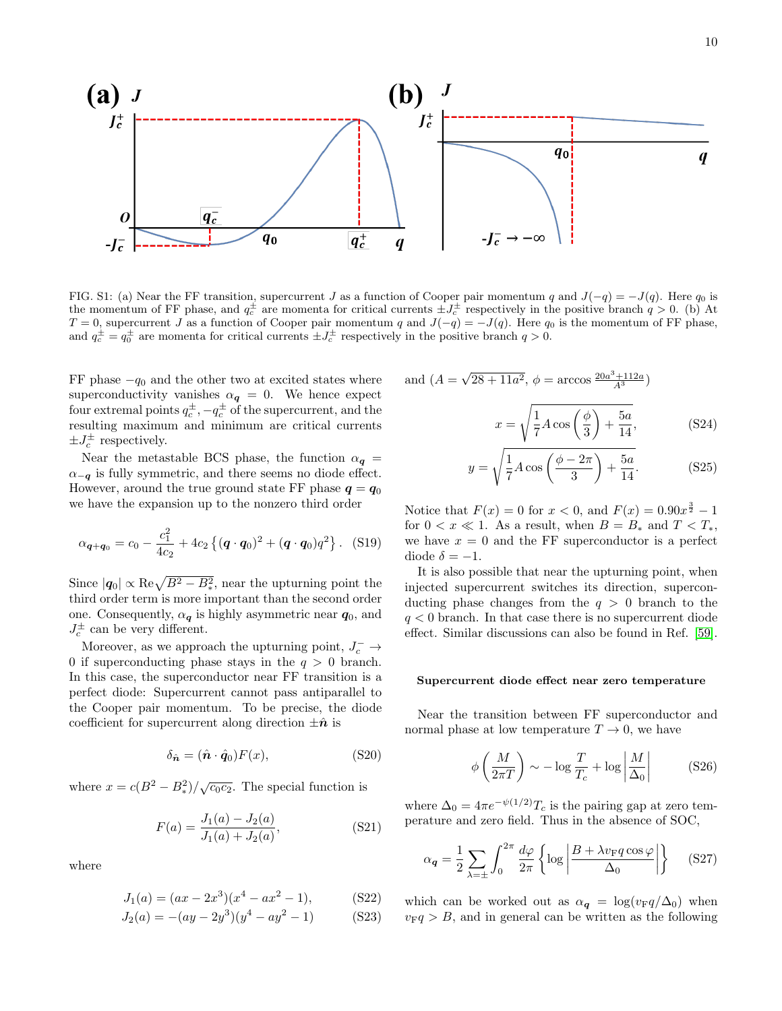

FIG. S1: (a) Near the FF transition, supercurrent J as a function of Cooper pair momentum q and  $J(-q) = -J(q)$ . Here q<sub>0</sub> is the momentum of FF phase, and  $q_c^{\pm}$  are momenta for critical currents  $\pm J_c^{\pm}$  respectively in the positive branch  $q > 0$ . (b) At  $T = 0$ , supercurrent J as a function of Cooper pair momentum q and  $J(-q) = -J(q)$ . Here q<sub>0</sub> is the momentum of FF phase, and  $q_c^{\pm} = q_0^{\pm}$  are momenta for critical currents  $\pm J_c^{\pm}$  respectively in the positive branch  $q > 0$ .

FF phase  $-q_0$  and the other two at excited states where superconductivity vanishes  $\alpha_{q} = 0$ . We hence expect four extremal points  $q_c^{\pm},-q_c^{\pm}$  of the supercurrent, and the resulting maximum and minimum are critical currents  $\pm J_c^{\pm}$  respectively.

Near the metastable BCS phase, the function  $\alpha_{q}$  =  $\alpha_{-q}$  is fully symmetric, and there seems no diode effect. However, around the true ground state FF phase  $q = q_0$ we have the expansion up to the nonzero third order

$$
\alpha_{\mathbf{q}+\mathbf{q}_0} = c_0 - \frac{c_1^2}{4c_2} + 4c_2 \left\{ (\mathbf{q} \cdot \mathbf{q}_0)^2 + (\mathbf{q} \cdot \mathbf{q}_0) q^2 \right\}. (S19)
$$

Since  $|q_0| \propto \text{Re}\sqrt{B^2 - B_*^2}$ , near the upturning point the third order term is more important than the second order one. Consequently,  $\alpha_{q}$  is highly asymmetric near  $q_0$ , and  $J_c^{\pm}$  can be very different.

Moreover, as we approach the upturning point,  $J_c^- \rightarrow$ 0 if superconducting phase stays in the  $q > 0$  branch. In this case, the superconductor near FF transition is a perfect diode: Supercurrent cannot pass antiparallel to the Cooper pair momentum. To be precise, the diode coefficient for supercurrent along direction  $\pm \hat{n}$  is

$$
\delta_{\hat{\mathbf{n}}} = (\hat{\mathbf{n}} \cdot \hat{\mathbf{q}}_0) F(x),\tag{S20}
$$

where  $x = c(B^2 - B_*^2)/\sqrt{c_0 c_2}$ . The special function is

$$
F(a) = \frac{J_1(a) - J_2(a)}{J_1(a) + J_2(a)},
$$
\n(S21)

where

$$
J_1(a) = (ax - 2x^3)(x^4 - ax^2 - 1),
$$
 (S22)

$$
J_2(a) = -(ay - 2y^3)(y^4 - ay^2 - 1)
$$
 (S23)

and 
$$
(A = \sqrt{28 + 11a^2}, \phi = \arccos \frac{20a^3 + 112a}{A^3})
$$
  

$$
x = \sqrt{\frac{1}{7}A\cos\left(\frac{\phi}{3}\right) + \frac{5a}{14}},
$$
(S24)

$$
y = \sqrt{\frac{1}{7}A\cos\left(\frac{\phi - 2\pi}{3}\right) + \frac{5a}{14}}.\tag{S25}
$$

Notice that  $F(x) = 0$  for  $x < 0$ , and  $F(x) = 0.90x^{\frac{3}{2}} - 1$ for  $0 < x \ll 1$ . As a result, when  $B = B_*$  and  $T < T_*$ , we have  $x = 0$  and the FF superconductor is a perfect diode  $\delta = -1$ .

It is also possible that near the upturning point, when injected supercurrent switches its direction, superconducting phase changes from the  $q > 0$  branch to the  $q < 0$  branch. In that case there is no supercurrent diode effect. Similar discussions can also be found in Ref. [\[59\]](#page-11-5).

### Supercurrent diode effect near zero temperature

Near the transition between FF superconductor and normal phase at low temperature  $T \to 0$ , we have

$$
\phi\left(\frac{M}{2\pi T}\right) \sim -\log\frac{T}{T_c} + \log\left|\frac{M}{\Delta_0}\right| \tag{S26}
$$

where  $\Delta_0 = 4\pi e^{-\psi(1/2)}T_c$  is the pairing gap at zero temperature and zero field. Thus in the absence of SOC,

$$
\alpha_{q} = \frac{1}{2} \sum_{\lambda = \pm} \int_{0}^{2\pi} \frac{d\varphi}{2\pi} \left\{ \log \left| \frac{B + \lambda v_{\rm F} q \cos \varphi}{\Delta_0} \right| \right\} \tag{S27}
$$

which can be worked out as  $\alpha_{q} = \log(v_{\rm F}q/\Delta_0)$  when  $v_F q > B$ , and in general can be written as the following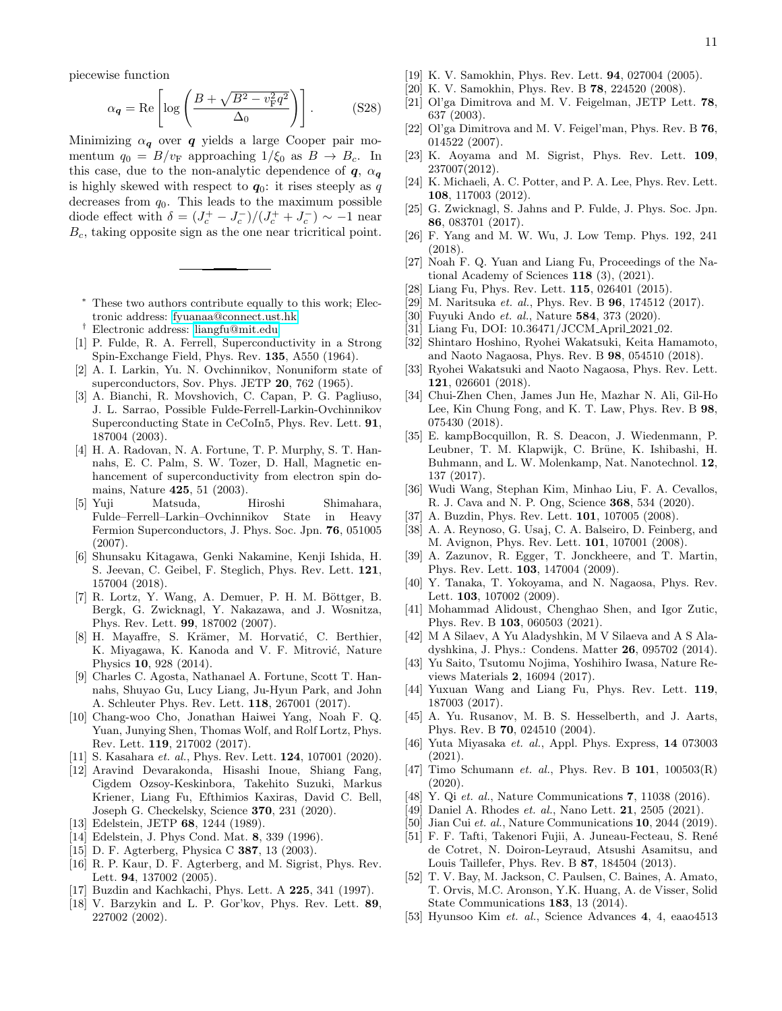piecewise function

$$
\alpha_{q} = \text{Re}\left[\log\left(\frac{B + \sqrt{B^2 - v_{\text{F}}^2 q^2}}{\Delta_0}\right)\right].\tag{S28}
$$

Minimizing  $\alpha_{q}$  over q yields a large Cooper pair momentum  $q_0 = B/v_F$  approaching  $1/\xi_0$  as  $B \to B_c$ . In this case, due to the non-analytic dependence of  $q, \alpha_q$ is highly skewed with respect to  $q_0$ : it rises steeply as q decreases from  $q_0$ . This leads to the maximum possible diode effect with  $\delta = (J_c^+ - J_c^-)/(J_c^+ + J_c^-) \sim -1$  near  $B<sub>c</sub>$ , taking opposite sign as the one near tricritical point.

- <span id="page-10-0"></span>These two authors contribute equally to this work; Electronic address: [fyuanaa@connect.ust.hk](mailto:fyuanaa@connect.ust.hk)
- <span id="page-10-1"></span>† Electronic address: [liangfu@mit.edu](mailto:liangfu@mit.edu)
- <span id="page-10-2"></span>[1] P. Fulde, R. A. Ferrell, Superconductivity in a Strong Spin-Exchange Field, Phys. Rev. 135, A550 (1964).
- <span id="page-10-3"></span>[2] A. I. Larkin, Yu. N. Ovchinnikov, Nonuniform state of superconductors, Sov. Phys. JETP 20, 762 (1965).
- <span id="page-10-4"></span>[3] A. Bianchi, R. Movshovich, C. Capan, P. G. Pagliuso, J. L. Sarrao, Possible Fulde-Ferrell-Larkin-Ovchinnikov Superconducting State in CeCoIn5, Phys. Rev. Lett. 91, 187004 (2003).
- [4] H. A. Radovan, N. A. Fortune, T. P. Murphy, S. T. Hannahs, E. C. Palm, S. W. Tozer, D. Hall, Magnetic enhancement of superconductivity from electron spin domains, Nature 425, 51 (2003).
- [5] Yuji Matsuda, Hiroshi Shimahara, Fulde–Ferrell–Larkin–Ovchinnikov State in Heavy Fermion Superconductors, J. Phys. Soc. Jpn. 76, 051005 (2007).
- [6] Shunsaku Kitagawa, Genki Nakamine, Kenji Ishida, H. S. Jeevan, C. Geibel, F. Steglich, Phys. Rev. Lett. 121, 157004 (2018).
- [7] R. Lortz, Y. Wang, A. Demuer, P. H. M. Böttger, B. Bergk, G. Zwicknagl, Y. Nakazawa, and J. Wosnitza, Phys. Rev. Lett. 99, 187002 (2007).
- [8] H. Mayaffre, S. Krämer, M. Horvatić, C. Berthier, K. Miyagawa, K. Kanoda and V. F. Mitrović, Nature Physics 10, 928 (2014).
- [9] Charles C. Agosta, Nathanael A. Fortune, Scott T. Hannahs, Shuyao Gu, Lucy Liang, Ju-Hyun Park, and John A. Schleuter Phys. Rev. Lett. 118, 267001 (2017).
- [10] Chang-woo Cho, Jonathan Haiwei Yang, Noah F. Q. Yuan, Junying Shen, Thomas Wolf, and Rolf Lortz, Phys. Rev. Lett. 119, 217002 (2017).
- [11] S. Kasahara *et. al.*, Phys. Rev. Lett. **124**, 107001 (2020).
- <span id="page-10-5"></span>[12] Aravind Devarakonda, Hisashi Inoue, Shiang Fang, Cigdem Ozsoy-Keskinbora, Takehito Suzuki, Markus Kriener, Liang Fu, Efthimios Kaxiras, David C. Bell, Joseph G. Checkelsky, Science 370, 231 (2020).
- <span id="page-10-6"></span>[13] Edelstein, JETP **68**, 1244 (1989).
- [14] Edelstein, J. Phys Cond. Mat. 8, 339 (1996).
- [15] D. F. Agterberg, Physica C **387**, 13 (2003).
- <span id="page-10-9"></span>[16] R. P. Kaur, D. F. Agterberg, and M. Sigrist, Phys. Rev. Lett. 94, 137002 (2005).
- [17] Buzdin and Kachkachi, Phys. Lett. A **225**, 341 (1997).
- [18] V. Barzykin and L. P. Gor'kov, Phys. Rev. Lett. 89, 227002 (2002).
- [19] K. V. Samokhin, Phys. Rev. Lett. **94**, 027004 (2005).
- [20] K. V. Samokhin, Phys. Rev. B 78, 224520 (2008).
- [21] Ol'ga Dimitrova and M. V. Feigelman, JETP Lett. 78, 637 (2003).
- <span id="page-10-19"></span>[22] Ol'ga Dimitrova and M. V. Feigel'man, Phys. Rev. B 76, 014522 (2007).
- [23] K. Aoyama and M. Sigrist, Phys. Rev. Lett. 109, 237007(2012).
- <span id="page-10-10"></span>[24] K. Michaeli, A. C. Potter, and P. A. Lee, Phys. Rev. Lett. 108, 117003 (2012).
- [25] G. Zwicknagl, S. Jahns and P. Fulde, J. Phys. Soc. Jpn. 86, 083701 (2017).
- [26] F. Yang and M. W. Wu, J. Low Temp. Phys. 192, 241 (2018).
- <span id="page-10-7"></span>[27] Noah F. Q. Yuan and Liang Fu, Proceedings of the National Academy of Sciences 118 (3), (2021).
- <span id="page-10-8"></span>[28] Liang Fu, Phys. Rev. Lett. 115, 026401 (2015).
- <span id="page-10-11"></span>[29] M. Naritsuka et. al., Phys. Rev. B **96**, 174512 (2017).
- <span id="page-10-12"></span>[30] Fuyuki Ando et. al., Nature 584, 373 (2020).
- <span id="page-10-13"></span>[31] Liang Fu, DOI: 10.36471/JCCM\_April\_2021\_02.
- <span id="page-10-14"></span>[32] Shintaro Hoshino, Ryohei Wakatsuki, Keita Hamamoto, and Naoto Nagaosa, Phys. Rev. B 98, 054510 (2018).
- <span id="page-10-15"></span>[33] Ryohei Wakatsuki and Naoto Nagaosa, Phys. Rev. Lett. 121, 026601 (2018).
- <span id="page-10-16"></span>[34] Chui-Zhen Chen, James Jun He, Mazhar N. Ali, Gil-Ho Lee, Kin Chung Fong, and K. T. Law, Phys. Rev. B 98, 075430 (2018).
- [35] E. kampBocquillon, R. S. Deacon, J. Wiedenmann, P. Leubner, T. M. Klapwijk, C. Brüne, K. Ishibashi, H. Buhmann, and L. W. Molenkamp, Nat. Nanotechnol. 12, 137 (2017).
- [36] Wudi Wang, Stephan Kim, Minhao Liu, F. A. Cevallos, R. J. Cava and N. P. Ong, Science 368, 534 (2020).
- [37] A. Buzdin, Phys. Rev. Lett. **101**, 107005 (2008).
- [38] A. A. Reynoso, G. Usaj, C. A. Balseiro, D. Feinberg, and M. Avignon, Phys. Rev. Lett. 101, 107001 (2008).
- [39] A. Zazunov, R. Egger, T. Jonckheere, and T. Martin, Phys. Rev. Lett. 103, 147004 (2009).
- [40] Y. Tanaka, T. Yokoyama, and N. Nagaosa, Phys. Rev. Lett. 103, 107002 (2009).
- [41] Mohammad Alidoust, Chenghao Shen, and Igor Zutic, Phys. Rev. B 103, 060503 (2021).
- <span id="page-10-17"></span>[42] M A Silaev, A Yu Aladyshkin, M V Silaeva and A S Aladyshkina, J. Phys.: Condens. Matter 26, 095702 (2014).
- <span id="page-10-18"></span>[43] Yu Saito, Tsutomu Nojima, Yoshihiro Iwasa, Nature Reviews Materials 2, 16094 (2017).
- <span id="page-10-20"></span>[44] Yuxuan Wang and Liang Fu, Phys. Rev. Lett. 119, 187003 (2017).
- <span id="page-10-21"></span>[45] A. Yu. Rusanov, M. B. S. Hesselberth, and J. Aarts, Phys. Rev. B 70, 024510 (2004).
- <span id="page-10-22"></span>[46] Yuta Miyasaka et. al., Appl. Phys. Express, 14 073003 (2021).
- <span id="page-10-23"></span>[47] Timo Schumann et. al., Phys. Rev. B 101, 100503(R) (2020).
- <span id="page-10-24"></span>[48] Y. Qi et. al., Nature Communications **7**, 11038 (2016).
- [49] Daniel A. Rhodes et. al., Nano Lett. **21**, 2505 (2021).
- <span id="page-10-25"></span>[50] Jian Cui *et. al.*, Nature Communications **10**, 2044 (2019).
- <span id="page-10-26"></span>[51] F. F. Tafti, Takenori Fujii, A. Juneau-Fecteau, S. Ren´e de Cotret, N. Doiron-Leyraud, Atsushi Asamitsu, and Louis Taillefer, Phys. Rev. B 87, 184504 (2013).
- [52] T. V. Bay, M. Jackson, C. Paulsen, C. Baines, A. Amato, T. Orvis, M.C. Aronson, Y.K. Huang, A. de Visser, Solid State Communications 183, 13 (2014).
- [53] Hyunsoo Kim et. al., Science Advances 4, 4, eaao4513